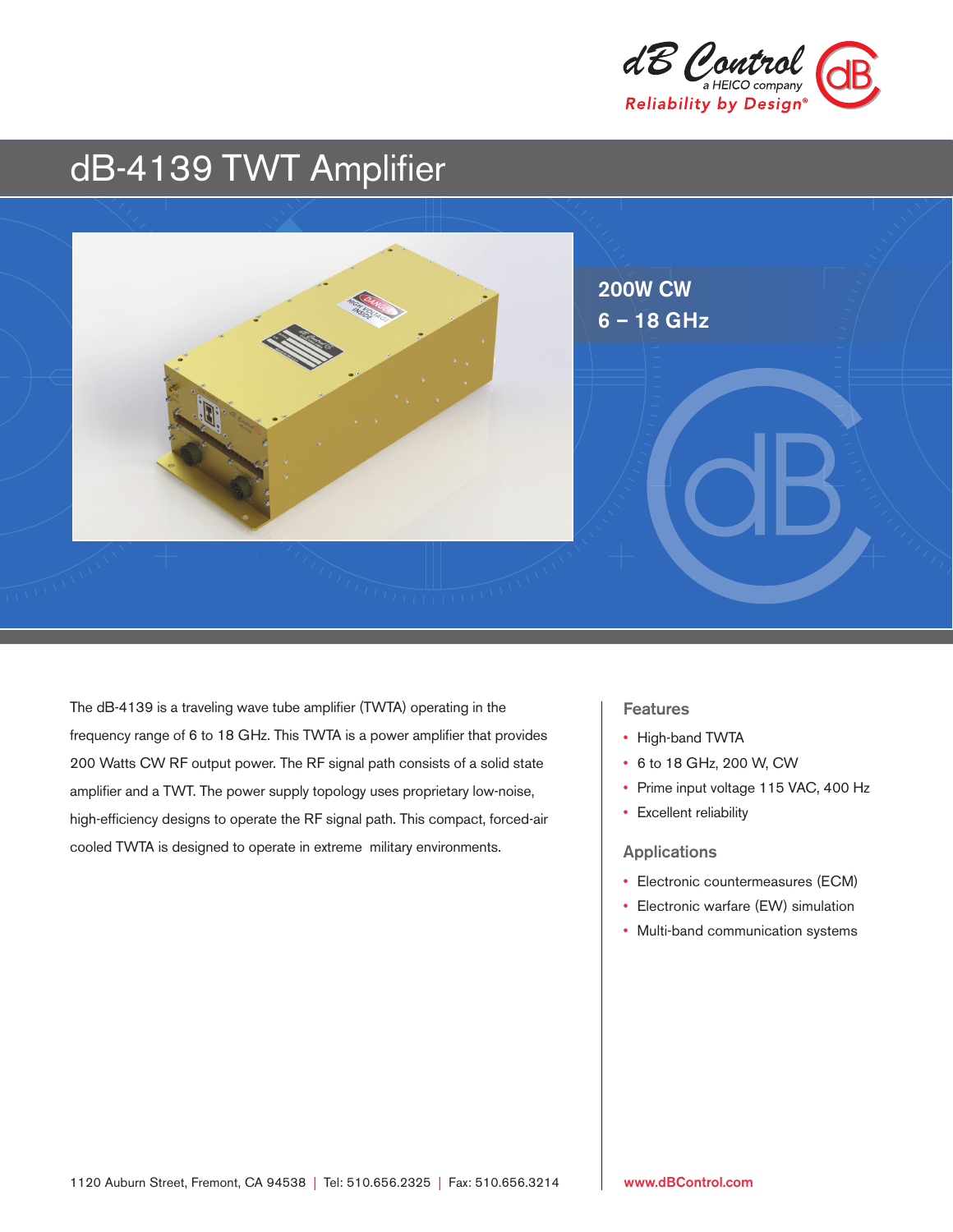

# dB-4139 TWT Amplifier



The dB-4139 is a traveling wave tube amplifier (TWTA) operating in the frequency range of 6 to 18 GHz. This TWTA is a power amplifier that provides 200 Watts CW RF output power. The RF signal path consists of a solid state amplifier and a TWT. The power supply topology uses proprietary low-noise, high-efficiency designs to operate the RF signal path. This compact, forced-air cooled TWTA is designed to operate in extreme military environments.

# Features

- High-band TWTA
- 6 to 18 GHz, 200 W, CW
- Prime input voltage 115 VAC, 400 Hz
- Excellent reliability

# Applications

- Electronic countermeasures (ECM)
- Electronic warfare (EW) simulation
- Multi-band communication systems